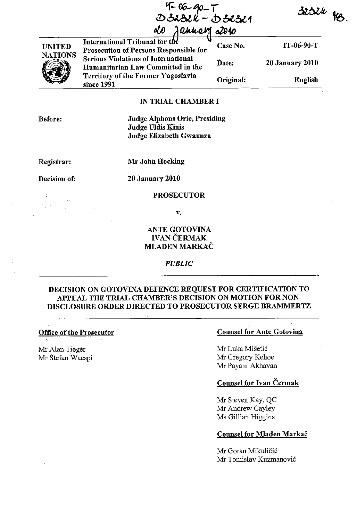4-06-90-T<br>>3232k - D32321 anner - 2010



International Tribunal for the **V**<br>Prosecution of Persons Responsible for Case No. IT-06-90-T **Serious Violations of International** Date: 20 January 2010 Humanitarian Law Committed in the **Territory of the Former Yugoslavia** Original: since 1991

# IN TRIAL CHAMBER I

Before:

Judge Alphons Orie, Presiding Judge Uldis Kinis Judge Elizabeth Gwaunza

Registrar:

Mr John Hocking

Decision of:

20 January 2010

### PROSECUTOR

v.

# ANTE GOTOVINA **IVAN ČERMAK** MLADEN MARKAC

#### *PUBLIC*

## DECISION ON GOTOVINA DEFENCE REQUEST FOR CERTIFICATION TO APPEAL THE TRIAL CHAMBER'S DECISION ON MOTION FOR NON-DISCLOSURE ORDER DIRECTED TO PROSECUTOR SERGE BRAMMERTZ

#### Office of the Prosecutor

Mr Alan Tieger Mr Stefan Waespi

### Counsel for Ante Gotovina

Mr Luka Mišetić Mr Gregory Kehoe Mr Payarn Akhavan

## Counsel for Ivan Cermak

Mr Steven Kay, QC Mr Andrew Cayley Ms Gillian Higgins

### Counsel for Mladen Markac

Mr Goran Mikuličić Mr Tomislav Kuzmanovi6

3252k fg

English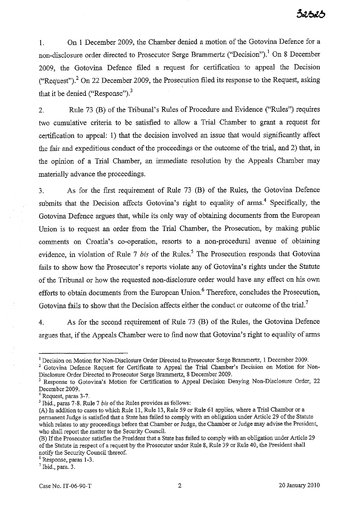1. On I December 2009, the Chamber denied a motion of the Gotovina Defence for a non-disclosure order directed to Prosecutor Serge Brammertz ("Decision").! On 8 December 2009, the Gotovina Defence filed a request for certification to appeal the Decision ("Request"),<sup>2</sup> On 22 December 2009, the Prosecution filed its response to the Request, asking that it be denied ("Response"). $3$ 

2. Rule 73 (B) of the Tribunal's Rules of Procedure and Evidence ("Rules") requires two cumulative criteria to be satisfied to allow a Trial Chamber to grant a request for certification to appeal: I) that the decision involved an issue that would significantly affect the fair and expeditious conduct of the proceedings or the outcome of the trial, and 2) that, in the opinion of a Trial Chamber, an immediate resolution by the Appeals Chamber may materially advance the proceedings.

3. As for the first requirement of Rule 73 (B) of the Rules, the Gotovina Defence submits that the Decision affects Gotovina's right to equality of arms.<sup>4</sup> Specifically, the Gotovina Defence argues that, while its only way of obtaining documents from the European Union is to request an order from the Trial Chamber, the Prosecution, by making public comments on Croatia's co-operation, resorts to a non-procedural avenue of obtaining evidence, in violation of Rule 7 *bis* of the Rules.<sup>5</sup> The Prosecution responds that Gotovina fails to show how the Prosecutor's reports violate any of Gotovina's rights under the Statute of the Tribunal or how the requested non-disclosure order would have any effect on his own efforts to obtain documents from the European Union.<sup>6</sup> Therefore, concludes the Prosecution, Gotovina fails to show that the Decision affects either the conduct or outcome of the trial.<sup>7</sup>

4. As for the second requirement of Rule 73 (B) of the Rules, the Gotovina befence argues that, if the Appeals Chamber were to fmd now that Gotovina's right to equality of arms

<sup>1</sup> Decision on Motion for Non-Disclosnre Order Directed to Prosecntor Serge Brammertz, I December 2009.

<sup>&</sup>lt;sup>2</sup> Gotovina Defence Request for Certificate to Appeal the Trial Chamber's Decision on Motion for Non-Disclosnre Order Directed to Prosecutor Serge Brammertz, 8 December 2009.

<sup>&</sup>lt;sup>3</sup> Response to Gotovina's Motion for Certification to Appeal Decision Denying Non-Disclosure Order, 22 December 2009.

<sup>4</sup> Request, paras 3-7.

<sup>5</sup> Ibid., paras 7-8. Rule 7 *his* of the Rules provides as follows:

<sup>(</sup>A) In addition to cases to which Rule 11, Rule 13, Rule 59 or Rule 61 applies, where a Trial Chamber or a permanent Judge is satisfied that a State has failed to comply with an obligation under Article 29 of the Statute which relates to any proceedings before that Chamber or Judge, the Chamber or Judge may advise the President, who shall report the matter to the Security Council.

<sup>(</sup>B) If the Prosecutor satisfies the President that a State has failed to comply with an obligation under Article 29 of the Statute in respect of a request by the Prosecutor under Rule 8, Rule 39 or Rule 40, the President shall notify the Security Council thereof.

<sup>6</sup> Response, paras 1-3.

 $<sup>7</sup>$  Ibid., para. 3.</sup>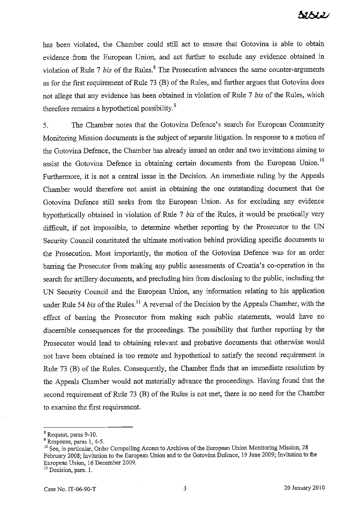has been violated, the Chamber could still act to ensure that Gotovina is able to obtain evidence from the European Union, and act further to exclude any evidence obtained in violation of Rule 7 *bis* of the Rules.<sup>8</sup> The Prosecution advances the same counter-arguments as for the first requirement of Rule 73 (B) of the Rules, and further argues that Gotovina does not allege that any evidence has been obtained in violation of Rule 7 *bis* of the Rules, which therefore remains a hypothetical possibility.<sup>9</sup>

5. The Chamber notes that the Gotovina Defence's search for European Community Monitoring Mission documents is the subject of separate litigation. In response to a motion of the Gotovina Defence, the Chamber has already issued an order and two invitations aiming to assist the Gotovina Defence in obtaining certain documents from the European Union.<sup>10</sup> Furthermore, it is not a central issue in the Decision. An immediate ruling by the Appeals Chamber would therefore not assist in obtaining the one outstanding document that the Gotovina Defence still seeks from the European Union. As for excluding any evidence hypothetically obtained in violation of Rule 7 *bis* of the Rules, it would be practically very difficult, if not impossible, to determine whether reporting by the Prosecutor to the UN Security Council constituted the ultimate motivation behind providing specific documents to the Prosecution. Most importantly, the motion of the Gotovina Defence was for an order barring the Prosecutor from making any public assessments of Croatia's co-operation in the search for artillery documents, and precluding him from disclosing to the public, including the UN Security Council and the European Union, any information relating to his application under Rule 54 *bis* of the Rules.<sup>11</sup> A reversal of the Decision by the Appeals Chamber, with the effect of barring the Prosecutor from making such public statements, would have no discernible consequences for the proceedings. The possibility that further reporting by the Prosecutor would lead to obtaining relevant and probative documents that otherwise would not have been obtained is too remote and hypothetical to satisfy the second requirement in Rule 73 (B) of the Rules. Consequently, the Chamber finds that an immediate resolution by the Appeals Chamber would not materially advance the proceedings. Having found that the second requirement of Rule 73 (B) of the Rules is not met, there is no need for the Chamber to examine the first requirement.

<sup>&</sup>lt;sup>8</sup> Request, paras 9-10.

<sup>&</sup>lt;sup>9</sup> Response, paras 1, 4-5.

<sup>&</sup>lt;sup>10</sup> See, in particular, Order Compelling Access to Archives of the European Union Monitoring Mission, 28 February 2008; Invitation to the European Union and to the Gotovina Defence, 19 June 2009; Invitation to the European Union, 16 December 2009.<br><sup>11</sup> Decision, para. 1.